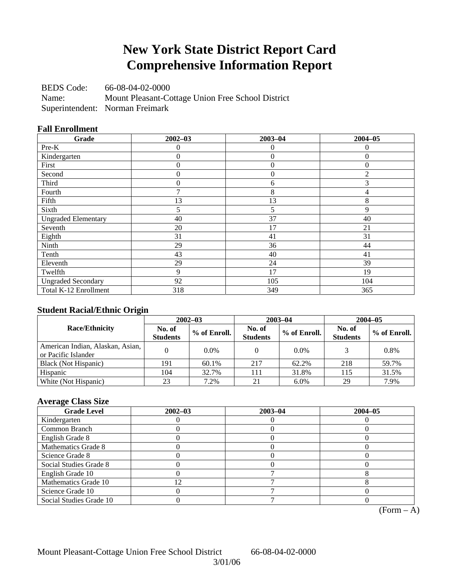## **New York State District Report Card Comprehensive Information Report**

BEDS Code: 66-08-04-02-0000 Name: Mount Pleasant-Cottage Union Free School District Superintendent: Norman Freimark

## **Fall Enrollment**

| Grade                      | $2002 - 03$ | $2003 - 04$    | $2004 - 05$    |
|----------------------------|-------------|----------------|----------------|
| Pre-K                      | 0           | $\theta$       | $\theta$       |
| Kindergarten               | 0           | $\overline{0}$ | $\mathbf{0}$   |
| First                      | 0           | $\overline{0}$ | $\mathbf{0}$   |
| Second                     | 0           | $\overline{0}$ | $\overline{2}$ |
| Third                      | 0           | 6              | 3              |
| Fourth                     | 7           | 8              | 4              |
| Fifth                      | 13          | 13             | 8              |
| Sixth                      | 5           | 5              | 9              |
| <b>Ungraded Elementary</b> | 40          | 37             | 40             |
| Seventh                    | 20          | 17             | 21             |
| Eighth                     | 31          | 41             | 31             |
| Ninth                      | 29          | 36             | 44             |
| Tenth                      | 43          | 40             | 41             |
| Eleventh                   | 29          | 24             | 39             |
| Twelfth                    | 9           | 17             | 19             |
| <b>Ungraded Secondary</b>  | 92          | 105            | 104            |
| Total K-12 Enrollment      | 318         | 349            | 365            |

## **Student Racial/Ethnic Origin**

|                                                         | $2002 - 03$               |              |                           | $2003 - 04$  | $2004 - 05$               |              |  |
|---------------------------------------------------------|---------------------------|--------------|---------------------------|--------------|---------------------------|--------------|--|
| <b>Race/Ethnicity</b>                                   | No. of<br><b>Students</b> | % of Enroll. | No. of<br><b>Students</b> | % of Enroll. | No. of<br><b>Students</b> | % of Enroll. |  |
| American Indian, Alaskan, Asian,<br>or Pacific Islander |                           | 0.0%         |                           | $0.0\%$      |                           | 0.8%         |  |
| Black (Not Hispanic)                                    | 191                       | 60.1%        | 217                       | 62.2%        | 218                       | 59.7%        |  |
| Hispanic                                                | 104                       | 32.7%        | 111                       | 31.8%        | 115                       | 31.5%        |  |
| White (Not Hispanic)                                    | 23                        | 7.2%         | 21                        | $6.0\%$      | 29                        | 7.9%         |  |

## **Average Class Size**

| <b>Grade Level</b>      | $2002 - 03$ | $2003 - 04$ | $2004 - 05$ |
|-------------------------|-------------|-------------|-------------|
| Kindergarten            |             |             |             |
| Common Branch           |             |             |             |
| English Grade 8         |             |             |             |
| Mathematics Grade 8     |             |             |             |
| Science Grade 8         |             |             |             |
| Social Studies Grade 8  |             |             |             |
| English Grade 10        |             |             |             |
| Mathematics Grade 10    | 12          |             |             |
| Science Grade 10        |             |             |             |
| Social Studies Grade 10 |             |             |             |

 $(Form - A)$ 

Mount Pleasant-Cottage Union Free School District 66-08-04-02-0000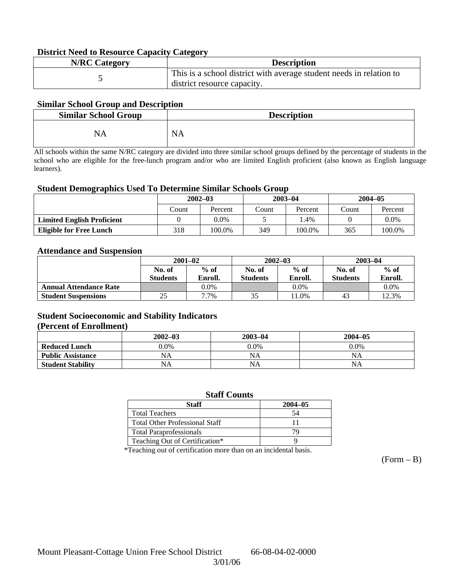### **District Need to Resource Capacity Category**

| <b>N/RC Category</b> | <b>Description</b>                                                                                 |
|----------------------|----------------------------------------------------------------------------------------------------|
|                      | This is a school district with average student needs in relation to<br>district resource capacity. |

### **Similar School Group and Description**

| <b>Similar School Group</b> | <b>Description</b> |
|-----------------------------|--------------------|
| NA                          | <b>NA</b>          |

All schools within the same N/RC category are divided into three similar school groups defined by the percentage of students in the school who are eligible for the free-lunch program and/or who are limited English proficient (also known as English language learners).

#### **Student Demographics Used To Determine Similar Schools Group**

|                                   | $2002 - 03$ |         |           | $2003 - 04$ | $2004 - 05$ |         |
|-----------------------------------|-------------|---------|-----------|-------------|-------------|---------|
|                                   | Count       | Percent | <br>Count | Percent     | Count       | Percent |
| <b>Limited English Proficient</b> |             | $0.0\%$ |           | $.4\%$      |             | $0.0\%$ |
| <b>Eligible for Free Lunch</b>    | 318         | 100.0%  | 349       | 100.0%      | 365         | 100.0%  |

#### **Attendance and Suspension**

|                               | $2001 - 02$      |         |                  | $2002 - 03$ | $2003 - 04$     |         |
|-------------------------------|------------------|---------|------------------|-------------|-----------------|---------|
|                               | $%$ of<br>No. of |         | $%$ of<br>No. of |             | No. of          | $%$ of  |
|                               | <b>Students</b>  | Enroll. | <b>Students</b>  | Enroll.     | <b>Students</b> | Enroll. |
| <b>Annual Attendance Rate</b> |                  | 0.0%    |                  | 0.0%        |                 | $0.0\%$ |
| <b>Student Suspensions</b>    | 25               | 7.7%    | 35               | 1.0%        | 43              | 12.3%   |

### **Student Socioeconomic and Stability Indicators (Percent of Enrollment)**

|                          | $2002 - 03$ | 2003-04   | $2004 - 05$ |
|--------------------------|-------------|-----------|-------------|
| <b>Reduced Lunch</b>     | $0.0\%$     | $0.0\%$   | $0.0\%$     |
| <b>Public Assistance</b> | NA          | NA        | NA          |
| <b>Student Stability</b> | NA          | <b>NA</b> | NA          |

#### **Staff Counts**

| Staff                                 | $2004 - 05$ |
|---------------------------------------|-------------|
| <b>Total Teachers</b>                 | 54          |
| <b>Total Other Professional Staff</b> |             |
| <b>Total Paraprofessionals</b>        |             |
| Teaching Out of Certification*        |             |

\*Teaching out of certification more than on an incidental basis.

 $(Form - B)$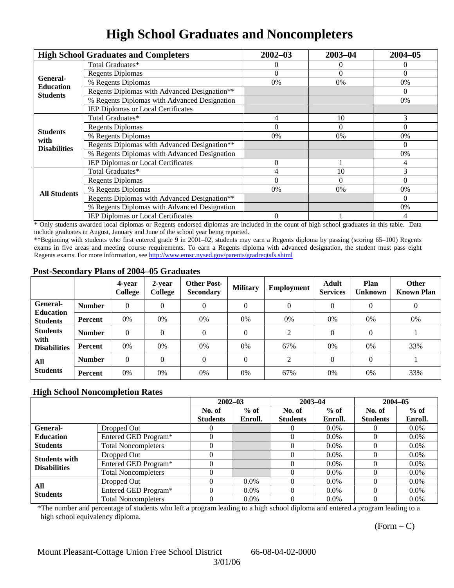## **High School Graduates and Noncompleters**

|                         | <b>High School Graduates and Completers</b>  | $2002 - 03$                                                                                                                                   | $2003 - 04$ | $2004 - 05$ |
|-------------------------|----------------------------------------------|-----------------------------------------------------------------------------------------------------------------------------------------------|-------------|-------------|
|                         | Total Graduates*                             |                                                                                                                                               | 0           | 0           |
| General-                | <b>Regents Diplomas</b>                      | $\Omega$<br>$\Omega$<br>$0\%$<br>0%<br>10<br>4<br>$\Omega$<br>$\Omega$<br>0%<br>0%<br>$\Omega$<br>10<br>4<br>$\theta$<br>$\Omega$<br>0%<br>0% | $\Omega$    |             |
| <b>Education</b>        | % Regents Diplomas                           |                                                                                                                                               |             | 0%          |
| <b>Students</b>         | Regents Diplomas with Advanced Designation** |                                                                                                                                               |             | $\Omega$    |
|                         | % Regents Diplomas with Advanced Designation |                                                                                                                                               |             | 0%          |
|                         | IEP Diplomas or Local Certificates           |                                                                                                                                               |             |             |
|                         | Total Graduates*                             |                                                                                                                                               |             | 3           |
|                         | <b>Regents Diplomas</b>                      |                                                                                                                                               |             | $\Omega$    |
| <b>Students</b><br>with | % Regents Diplomas                           |                                                                                                                                               |             | 0%          |
| <b>Disabilities</b>     | Regents Diplomas with Advanced Designation** | $\overline{0}$                                                                                                                                | $\Omega$    |             |
|                         | % Regents Diplomas with Advanced Designation |                                                                                                                                               | 0%          |             |
|                         | <b>IEP Diplomas or Local Certificates</b>    |                                                                                                                                               |             | 4           |
|                         | Total Graduates*                             |                                                                                                                                               |             | 3           |
|                         | <b>Regents Diplomas</b>                      |                                                                                                                                               |             | $\Omega$    |
| <b>All Students</b>     | % Regents Diplomas                           |                                                                                                                                               | 0%          |             |
|                         | Regents Diplomas with Advanced Designation** |                                                                                                                                               |             | $\Omega$    |
|                         | % Regents Diplomas with Advanced Designation |                                                                                                                                               |             | 0%          |
|                         | <b>IEP Diplomas or Local Certificates</b>    |                                                                                                                                               |             | 4           |

\* Only students awarded local diplomas or Regents endorsed diplomas are included in the count of high school graduates in this table. Data include graduates in August, January and June of the school year being reported.

\*\*Beginning with students who first entered grade 9 in 2001–02, students may earn a Regents diploma by passing (scoring 65–100) Regents exams in five areas and meeting course requirements. To earn a Regents diploma with advanced designation, the student must pass eight Regents exams. For more information, see http://www.emsc.nysed.gov/parents/gradreqtsfs.shtml

### **Post-Secondary Plans of 2004–05 Graduates**

|                                                |                | 4-year<br><b>College</b> | 2-year<br>College | <b>Other Post-</b><br><b>Secondary</b> | <b>Military</b> | <b>Employment</b> | <b>Adult</b><br><b>Services</b> | Plan<br><b>Unknown</b> | <b>Other</b><br><b>Known Plan</b> |
|------------------------------------------------|----------------|--------------------------|-------------------|----------------------------------------|-----------------|-------------------|---------------------------------|------------------------|-----------------------------------|
| General-<br><b>Education</b>                   | <b>Number</b>  | $\theta$                 | $\theta$          | $\theta$                               | $\theta$        | $\theta$          | $\Omega$                        | $\theta$               | $\mathbf{0}$                      |
| <b>Students</b>                                | Percent        | 0%                       | 0%                | 0%                                     | 0%              | 0%                | 0%                              | 0%                     | 0%                                |
| <b>Students</b><br>with<br><b>Disabilities</b> | <b>Number</b>  | $\theta$                 | $\theta$          | $\theta$                               | $\theta$        | $\mathfrak{D}$    | $\Omega$                        | $\Omega$               |                                   |
|                                                | Percent        | 0%                       | 0%                | 0%                                     | 0%              | 67%               | 0%                              | 0%                     | 33%                               |
| All<br><b>Students</b>                         | <b>Number</b>  | $\theta$                 | $\theta$          | $\theta$                               | $\theta$        | ↑                 | $\Omega$                        | $\Omega$               |                                   |
|                                                | <b>Percent</b> | 0%                       | 0%                | 0%                                     | 0%              | 67%               | 0%                              | 0%                     | 33%                               |

## **High School Noncompletion Rates**

|                        |                            | $2002 - 03$     |         | $2003 - 04$     |         | $2004 - 05$     |         |
|------------------------|----------------------------|-----------------|---------|-----------------|---------|-----------------|---------|
|                        |                            | No. of          | $%$ of  | No. of          | $%$ of  | No. of          | $%$ of  |
|                        |                            | <b>Students</b> | Enroll. | <b>Students</b> | Enroll. | <b>Students</b> | Enroll. |
| General-               | Dropped Out                |                 |         |                 | $0.0\%$ |                 | $0.0\%$ |
| <b>Education</b>       | Entered GED Program*       |                 |         |                 | $0.0\%$ |                 | $0.0\%$ |
| <b>Students</b>        | <b>Total Noncompleters</b> |                 |         |                 | $0.0\%$ |                 | $0.0\%$ |
| <b>Students with</b>   | Dropped Out                |                 |         |                 | $0.0\%$ |                 | $0.0\%$ |
| <b>Disabilities</b>    | Entered GED Program*       |                 |         |                 | $0.0\%$ |                 | $0.0\%$ |
|                        | <b>Total Noncompleters</b> |                 |         |                 | $0.0\%$ |                 | $0.0\%$ |
| All<br><b>Students</b> | Dropped Out                |                 | $0.0\%$ |                 | $0.0\%$ |                 | $0.0\%$ |
|                        | Entered GED Program*       |                 | $0.0\%$ | 0               | $0.0\%$ |                 | $0.0\%$ |
|                        | <b>Total Noncompleters</b> |                 | $0.0\%$ |                 | $0.0\%$ |                 | $0.0\%$ |

\*The number and percentage of students who left a program leading to a high school diploma and entered a program leading to a high school equivalency diploma.

 $(Form - C)$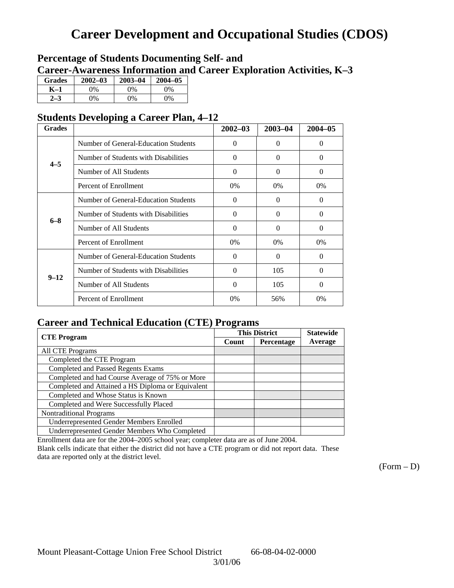## **Career Development and Occupational Studies (CDOS)**

## **Percentage of Students Documenting Self- and Career-Awareness Information and Career Exploration Activities, K–3**

| <b>Grades</b> | $2002 - 03$ | $2003 - 04$ | $2004 - 05$ |
|---------------|-------------|-------------|-------------|
| K–1           | 9%          | $0\%$       | $0\%$       |
|               | $\gamma\%$  | $0\%$       | $0\%$       |

## **Students Developing a Career Plan, 4–12**

| <b>Grades</b> |                                      | $2002 - 03$ | 2003-04  | $2004 - 05$ |
|---------------|--------------------------------------|-------------|----------|-------------|
|               | Number of General-Education Students | $\theta$    | $\Omega$ | $\Omega$    |
| $4 - 5$       | Number of Students with Disabilities | $\theta$    | $\theta$ | $\Omega$    |
|               | Number of All Students               | $\theta$    | $\Omega$ | $\Omega$    |
|               | Percent of Enrollment                | $0\%$       | 0%       | 0%          |
|               | Number of General-Education Students | $\Omega$    | $\theta$ | $\Omega$    |
| $6 - 8$       | Number of Students with Disabilities | $\theta$    | 0        | 0           |
|               | Number of All Students               | $\theta$    | 0        | $\Omega$    |
|               | Percent of Enrollment                | $0\%$       | $0\%$    | $0\%$       |
|               | Number of General-Education Students | $\Omega$    | $\Omega$ | $\Omega$    |
|               | Number of Students with Disabilities | $\theta$    | 105      | $\Omega$    |
| $9 - 12$      | Number of All Students               | $\theta$    | 105      | $\Omega$    |
|               | Percent of Enrollment                | 0%          | 56%      | $0\%$       |

## **Career and Technical Education (CTE) Programs**

|                                                   |       | <b>This District</b> | <b>Statewide</b> |
|---------------------------------------------------|-------|----------------------|------------------|
| <b>CTE</b> Program                                | Count | Percentage           | Average          |
| <b>All CTE Programs</b>                           |       |                      |                  |
| Completed the CTE Program                         |       |                      |                  |
| <b>Completed and Passed Regents Exams</b>         |       |                      |                  |
| Completed and had Course Average of 75% or More   |       |                      |                  |
| Completed and Attained a HS Diploma or Equivalent |       |                      |                  |
| Completed and Whose Status is Known               |       |                      |                  |
| Completed and Were Successfully Placed            |       |                      |                  |
| <b>Nontraditional Programs</b>                    |       |                      |                  |
| <b>Underrepresented Gender Members Enrolled</b>   |       |                      |                  |
| Underrepresented Gender Members Who Completed     |       |                      |                  |

Enrollment data are for the 2004–2005 school year; completer data are as of June 2004.

Blank cells indicate that either the district did not have a CTE program or did not report data. These data are reported only at the district level.

 $(Form - D)$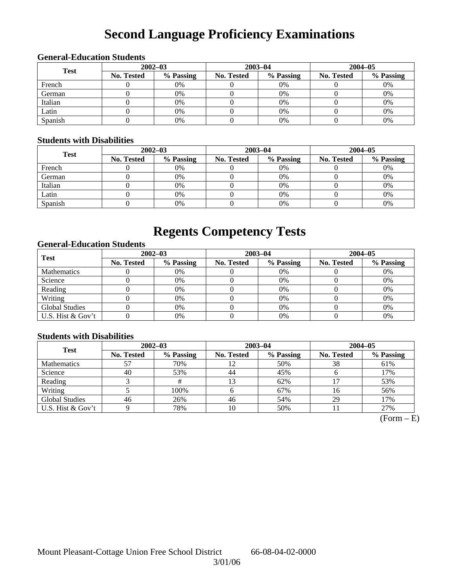# **Second Language Proficiency Examinations**

## **General-Education Students**

| <b>Test</b> | $2002 - 03$ |           |            | $2003 - 04$ | $2004 - 05$       |           |  |
|-------------|-------------|-----------|------------|-------------|-------------------|-----------|--|
|             | No. Tested  | % Passing | No. Tested | % Passing   | <b>No. Tested</b> | % Passing |  |
| French      |             | 0%        |            | $0\%$       |                   | 0%        |  |
| German      |             | 0%        |            | $0\%$       |                   | 0%        |  |
| Italian     |             | 0%        |            | 0%          |                   | 0%        |  |
| Latin       |             | 0%        |            | 0%          |                   | 0%        |  |
| Spanish     |             | 0%        |            | 0%          |                   | 0%        |  |

### **Students with Disabilities**

| <b>Test</b> | $2002 - 03$ |           |                   | $2003 - 04$ | $2004 - 05$       |           |  |
|-------------|-------------|-----------|-------------------|-------------|-------------------|-----------|--|
|             | No. Tested  | % Passing | <b>No. Tested</b> | % Passing   | <b>No. Tested</b> | % Passing |  |
| French      |             | 0%        |                   | 0%          |                   | 0%        |  |
| German      |             | 0%        |                   | 0%          |                   | 0%        |  |
| Italian     |             | 0%        |                   | $0\%$       |                   | 0%        |  |
| Latin       |             | 0%        |                   | 0%          |                   | 0%        |  |
| Spanish     |             | 0%        |                   | 0%          |                   | 0%        |  |

## **Regents Competency Tests**

## **General-Education Students**

| <b>Test</b>           | $2002 - 03$       |           |                   | $2003 - 04$ | $2004 - 05$ |           |  |
|-----------------------|-------------------|-----------|-------------------|-------------|-------------|-----------|--|
|                       | <b>No. Tested</b> | % Passing | <b>No. Tested</b> | % Passing   | No. Tested  | % Passing |  |
| <b>Mathematics</b>    |                   | 0%        |                   | 0%          |             | 0%        |  |
| Science               |                   | 0%        |                   | 0%          |             | 0%        |  |
| Reading               |                   | 0%        |                   | $0\%$       |             | 0%        |  |
| Writing               |                   | 0%        |                   | 0%          |             | 0%        |  |
| <b>Global Studies</b> |                   | 0%        |                   | 0%          |             | 0%        |  |
| U.S. Hist & Gov't     |                   | 0%        |                   | 0%          |             | 0%        |  |

## **Students with Disabilities**

| <b>Test</b>           | $2002 - 03$       |           | $2003 - 04$ |           | $2004 - 05$ |           |  |
|-----------------------|-------------------|-----------|-------------|-----------|-------------|-----------|--|
|                       | <b>No. Tested</b> | % Passing | No. Tested  | % Passing | No. Tested  | % Passing |  |
| <b>Mathematics</b>    |                   | 70%       | 12          | 50%       | 38          | 61%       |  |
| Science               | 40                | 53%       | 44          | 45%       |             | 17%       |  |
| Reading               |                   |           | 13          | 62%       |             | 53%       |  |
| Writing               |                   | 100%      | O           | 67%       | 16          | 56%       |  |
| <b>Global Studies</b> | 46                | 26%       | 46          | 54%       | 29          | 17%       |  |
| U.S. Hist & Gov't     |                   | 78%       | 10          | 50%       |             | 27%       |  |

 $(Form - E)$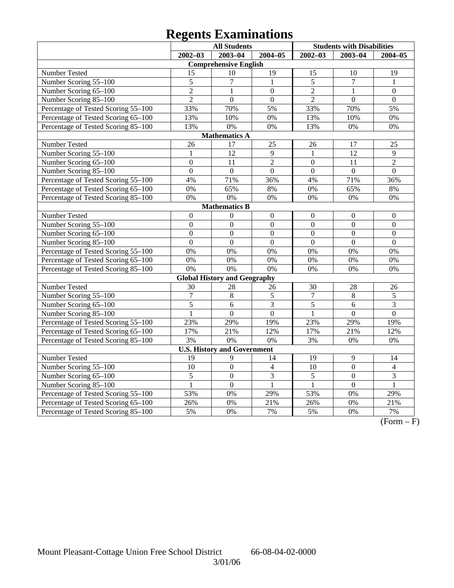# **Regents Examinations**

|                                     | <b>All Students</b> |                                     |                |                | <b>Students with Disabilities</b> |                  |
|-------------------------------------|---------------------|-------------------------------------|----------------|----------------|-----------------------------------|------------------|
|                                     | $2002 - 03$         | $2003 - 04$                         | $2004 - 05$    | $2002 - 03$    | $2003 - 04$                       | $2004 - 05$      |
|                                     |                     | <b>Comprehensive English</b>        |                |                |                                   |                  |
| Number Tested                       | 15                  | 10                                  | 19             | 15             | 10                                | 19               |
| Number Scoring 55-100               | 5                   | 7                                   | $\mathbf{1}$   | $\overline{5}$ | $\overline{7}$                    | $\mathbf{1}$     |
| Number Scoring 65-100               | $\overline{2}$      | 1                                   | $\overline{0}$ | $\overline{2}$ | 1                                 | $\overline{0}$   |
| Number Scoring 85-100               | $\overline{2}$      | $\overline{0}$                      | $\overline{0}$ | $\overline{2}$ | $\overline{0}$                    | $\overline{0}$   |
| Percentage of Tested Scoring 55-100 | 33%                 | 70%                                 | 5%             | 33%            | 70%                               | 5%               |
| Percentage of Tested Scoring 65-100 | 13%                 | 10%                                 | 0%             | 13%            | 10%                               | 0%               |
| Percentage of Tested Scoring 85-100 | 13%                 | 0%                                  | 0%             | 13%            | 0%                                | 0%               |
|                                     |                     | <b>Mathematics A</b>                |                |                |                                   |                  |
| Number Tested                       | 26                  | 17                                  | 25             | 26             | 17                                | 25               |
| Number Scoring 55-100               | $\mathbf{1}$        | $\overline{12}$                     | 9              | 1              | $\overline{12}$                   | 9                |
| Number Scoring 65-100               | $\overline{0}$      | 11                                  | $\overline{2}$ | $\mathbf{0}$   | 11                                | $\overline{2}$   |
| Number Scoring 85-100               | $\overline{0}$      | $\overline{0}$                      | $\overline{0}$ | $\overline{0}$ | $\overline{0}$                    | $\overline{0}$   |
| Percentage of Tested Scoring 55-100 | 4%                  | 71%                                 | 36%            | 4%             | 71%                               | 36%              |
| Percentage of Tested Scoring 65-100 | 0%                  | 65%                                 | 8%             | 0%             | 65%                               | 8%               |
| Percentage of Tested Scoring 85-100 | 0%                  | 0%                                  | 0%             | 0%             | 0%                                | 0%               |
|                                     |                     | <b>Mathematics B</b>                |                |                |                                   |                  |
| Number Tested                       | $\boldsymbol{0}$    | $\mathbf{0}$                        | $\overline{0}$ | $\theta$       | $\mathbf{0}$                      | $\boldsymbol{0}$ |
| Number Scoring 55-100               | $\overline{0}$      | $\overline{0}$                      | $\overline{0}$ | $\overline{0}$ | $\overline{0}$                    | $\overline{0}$   |
| Number Scoring 65-100               | $\mathbf{0}$        | $\overline{0}$                      | $\overline{0}$ | $\overline{0}$ | $\overline{0}$                    | $\boldsymbol{0}$ |
| Number Scoring 85-100               | $\overline{0}$      | $\overline{0}$                      | $\overline{0}$ | $\overline{0}$ | $\overline{0}$                    | $\overline{0}$   |
| Percentage of Tested Scoring 55-100 | 0%                  | 0%                                  | 0%             | 0%             | 0%                                | 0%               |
| Percentage of Tested Scoring 65-100 | $\overline{0\%}$    | 0%                                  | 0%             | 0%             | 0%                                | 0%               |
| Percentage of Tested Scoring 85-100 | 0%                  | 0%                                  | 0%             | 0%             | 0%                                | 0%               |
|                                     |                     | <b>Global History and Geography</b> |                |                |                                   |                  |
| Number Tested                       | 30                  | 28                                  | 26             | 30             | 28                                | 26               |
| Number Scoring 55-100               | $\overline{7}$      | $\bf 8$                             | 5              | $\overline{7}$ | $\overline{8}$                    | 5                |
| Number Scoring 65-100               | 5                   | 6                                   | 3              | 5              | 6                                 | 3                |
| Number Scoring 85-100               | 1                   | $\overline{0}$                      | $\overline{0}$ | $\mathbf{1}$   | $\overline{0}$                    | $\overline{0}$   |
| Percentage of Tested Scoring 55-100 | 23%                 | 29%                                 | 19%            | 23%            | 29%                               | 19%              |
| Percentage of Tested Scoring 65-100 | 17%                 | 21%                                 | 12%            | 17%            | 21%                               | 12%              |
| Percentage of Tested Scoring 85-100 | 3%                  | 0%                                  | 0%             | 3%             | 0%                                | 0%               |
|                                     |                     | <b>U.S. History and Government</b>  |                |                |                                   |                  |
| Number Tested                       | 19                  | 9                                   | 14             | 19             | 9                                 | 14               |
| Number Scoring 55-100               | 10                  | $\overline{0}$                      | $\overline{4}$ | 10             | $\mathbf{0}$                      | $\overline{4}$   |
| Number Scoring 65-100               | 5                   | $\overline{0}$                      | 3              | 5              | $\boldsymbol{0}$                  | 3                |
| Number Scoring 85-100               | $\mathbf{1}$        | $\overline{0}$                      | $\mathbf{1}$   | $\mathbf{1}$   | $\overline{0}$                    | $\mathbf{1}$     |
| Percentage of Tested Scoring 55-100 | 53%                 | 0%                                  | 29%            | 53%            | 0%                                | 29%              |
| Percentage of Tested Scoring 65-100 | 26%                 | 0%                                  | 21%            | 26%            | 0%                                | 21%              |
| Percentage of Tested Scoring 85-100 | 5%                  | 0%                                  | 7%             | 5%             | 0%                                | 7%               |

 $\overline{(Form - F)}$ 

3/01/06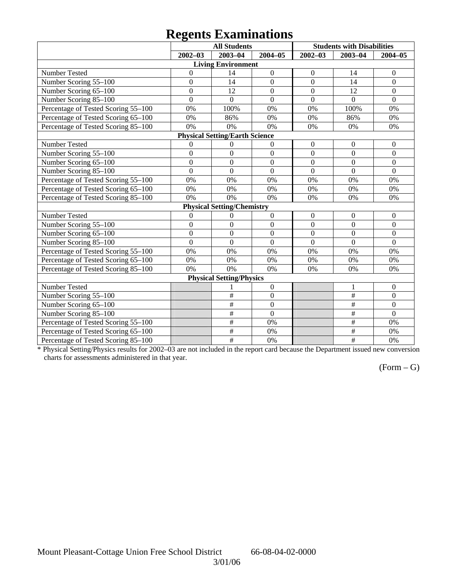## **Regents Examinations**

|                                     | o                | <b>All Students</b>                   |                  |                  | <b>Students with Disabilities</b> |                  |
|-------------------------------------|------------------|---------------------------------------|------------------|------------------|-----------------------------------|------------------|
|                                     | $2002 - 03$      | $2003 - 04$                           | 2004-05          | $2002 - 03$      | $2003 - 04$                       | $2004 - 05$      |
|                                     |                  | <b>Living Environment</b>             |                  |                  |                                   |                  |
| Number Tested                       | $\mathbf{0}$     | 14                                    | $\boldsymbol{0}$ | $\boldsymbol{0}$ | 14                                | $\boldsymbol{0}$ |
| Number Scoring 55-100               | $\boldsymbol{0}$ | 14                                    | $\boldsymbol{0}$ | $\overline{0}$   | 14                                | $\boldsymbol{0}$ |
| Number Scoring 65-100               | $\boldsymbol{0}$ | 12                                    | $\mathbf{0}$     | $\mathbf{0}$     | 12                                | $\boldsymbol{0}$ |
| Number Scoring 85-100               | $\overline{0}$   | $\overline{0}$                        | $\overline{0}$   | $\overline{0}$   | $\theta$                          | $\overline{0}$   |
| Percentage of Tested Scoring 55-100 | 0%               | 100%                                  | 0%               | 0%               | 100%                              | 0%               |
| Percentage of Tested Scoring 65-100 | 0%               | 86%                                   | 0%               | 0%               | 86%                               | 0%               |
| Percentage of Tested Scoring 85-100 | 0%               | 0%                                    | 0%               | 0%               | 0%                                | 0%               |
|                                     |                  | <b>Physical Setting/Earth Science</b> |                  |                  |                                   |                  |
| Number Tested                       | $\boldsymbol{0}$ | $\boldsymbol{0}$                      | $\boldsymbol{0}$ | $\boldsymbol{0}$ | $\boldsymbol{0}$                  | $\mathbf{0}$     |
| Number Scoring 55-100               | $\boldsymbol{0}$ | $\mathbf{0}$                          | $\mathbf{0}$     | $\overline{0}$   | $\Omega$                          | $\Omega$         |
| Number Scoring 65-100               | $\overline{0}$   | $\boldsymbol{0}$                      | $\mathbf{0}$     | $\mathbf{0}$     | $\overline{0}$                    | $\overline{0}$   |
| Number Scoring 85-100               | $\overline{0}$   | $\overline{0}$                        | $\overline{0}$   | $\overline{0}$   | $\overline{0}$                    | $\overline{0}$   |
| Percentage of Tested Scoring 55-100 | 0%               | 0%                                    | 0%               | 0%               | 0%                                | 0%               |
| Percentage of Tested Scoring 65-100 | 0%               | 0%                                    | 0%               | 0%               | 0%                                | 0%               |
| Percentage of Tested Scoring 85-100 | 0%               | 0%                                    | 0%               | 0%               | 0%                                | 0%               |
|                                     |                  | <b>Physical Setting/Chemistry</b>     |                  |                  |                                   |                  |
| Number Tested                       | $\overline{0}$   | $\boldsymbol{0}$                      | $\boldsymbol{0}$ | $\mathbf{0}$     | $\mathbf{0}$                      | $\overline{0}$   |
| Number Scoring 55-100               | $\overline{0}$   | $\overline{0}$                        | $\overline{0}$   | $\overline{0}$   | $\overline{0}$                    | $\overline{0}$   |
| Number Scoring 65-100               | $\overline{0}$   | $\overline{0}$                        | $\overline{0}$   | $\overline{0}$   | $\overline{0}$                    | $\overline{0}$   |
| Number Scoring 85-100               | $\overline{0}$   | $\overline{0}$                        | $\overline{0}$   | $\overline{0}$   | $\overline{0}$                    | $\overline{0}$   |
| Percentage of Tested Scoring 55-100 | 0%               | 0%                                    | 0%               | 0%               | 0%                                | 0%               |
| Percentage of Tested Scoring 65-100 | 0%               | 0%                                    | 0%               | 0%               | 0%                                | 0%               |
| Percentage of Tested Scoring 85-100 | 0%               | 0%                                    | 0%               | 0%               | 0%                                | 0%               |
|                                     |                  | <b>Physical Setting/Physics</b>       |                  |                  |                                   |                  |
| Number Tested                       |                  |                                       | $\boldsymbol{0}$ |                  | 1                                 | $\overline{0}$   |
| Number Scoring 55-100               |                  | $\#$                                  | $\mathbf{0}$     |                  | $\overline{\#}$                   | $\boldsymbol{0}$ |
| Number Scoring 65-100               |                  | #                                     | $\mathbf{0}$     |                  | $\overline{\ddot{}}$              | $\overline{0}$   |
| Number Scoring 85-100               |                  | $\#$                                  | $\boldsymbol{0}$ |                  | $\#$                              | $\overline{0}$   |
| Percentage of Tested Scoring 55-100 |                  | $\overline{\#}$                       | 0%               |                  | $\#$                              | 0%               |
| Percentage of Tested Scoring 65-100 |                  | #                                     | 0%               |                  | #                                 | 0%               |
| Percentage of Tested Scoring 85-100 |                  | $\overline{\ddot{\pi}}$               | 0%               |                  | #                                 | 0%               |

\* Physical Setting/Physics results for 2002–03 are not included in the report card because the Department issued new conversion charts for assessments administered in that year.

## $(Form - G)$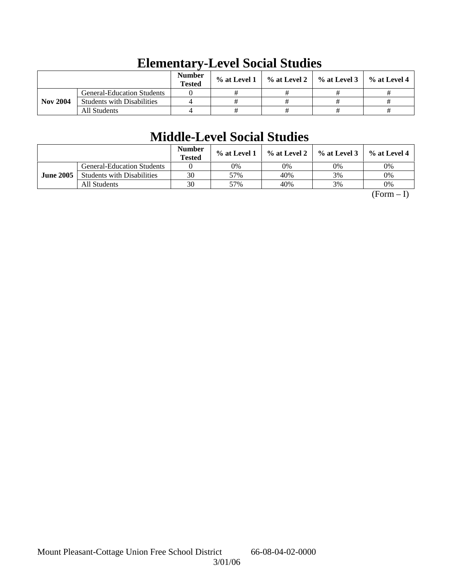|                 |                                   | <b>Number</b><br><b>Tested</b> | $\%$ at Level 1 | $\%$ at Level 2 $\parallel$ | $\%$ at Level 3 $\parallel$ | $\%$ at Level 4 |
|-----------------|-----------------------------------|--------------------------------|-----------------|-----------------------------|-----------------------------|-----------------|
|                 | <b>General-Education Students</b> |                                |                 |                             |                             |                 |
| <b>Nov 2004</b> | <b>Students with Disabilities</b> |                                |                 |                             |                             |                 |
|                 | All Students                      |                                |                 |                             |                             |                 |

## **Elementary-Level Social Studies**

## **Middle-Level Social Studies**

|                  |                                   | <b>Number</b><br><b>Tested</b> | % at Level 1 |     | $\%$ at Level 2 $\%$ at Level 3 | % at Level 4 |
|------------------|-----------------------------------|--------------------------------|--------------|-----|---------------------------------|--------------|
|                  | <b>General-Education Students</b> |                                | 0%           | 0%  | 0%                              | 0%           |
| <b>June 2005</b> | <b>Students with Disabilities</b> | 30                             | 57%          | 40% | 3%                              | 0%           |
|                  | All Students                      | 30                             | 57%          | 40% | 3%                              | 0%           |

 $(Form - I)$